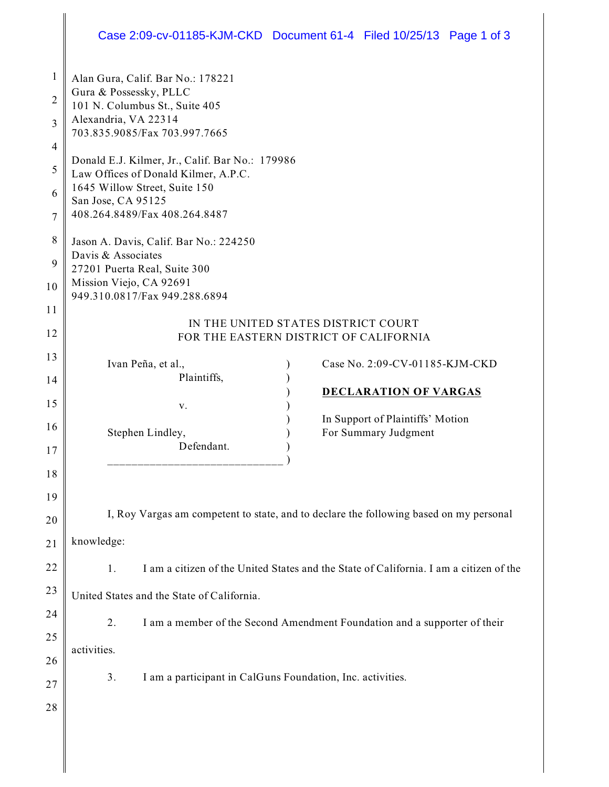## Case 2:09-cv-01185-KJM-CKD Document 61-4 Filed 10/25/13 Page 1 of 3

| 1              | Alan Gura, Calif. Bar No.: 178221<br>Gura & Possessky, PLLC<br>101 N. Columbus St., Suite 405<br>Alexandria, VA 22314 |                                                                           |  |  |
|----------------|-----------------------------------------------------------------------------------------------------------------------|---------------------------------------------------------------------------|--|--|
| $\overline{2}$ |                                                                                                                       |                                                                           |  |  |
| 3              |                                                                                                                       |                                                                           |  |  |
|                | 703.835.9085/Fax 703.997.7665                                                                                         |                                                                           |  |  |
| 4              | Donald E.J. Kilmer, Jr., Calif. Bar No.: 179986                                                                       |                                                                           |  |  |
| 5              | Law Offices of Donald Kilmer, A.P.C.                                                                                  |                                                                           |  |  |
| 6              | 1645 Willow Street, Suite 150<br>San Jose, CA 95125                                                                   |                                                                           |  |  |
| 7              | 408.264.8489/Fax 408.264.8487                                                                                         |                                                                           |  |  |
| 8              | Jason A. Davis, Calif. Bar No.: 224250                                                                                |                                                                           |  |  |
| 9              | Davis & Associates                                                                                                    |                                                                           |  |  |
|                | 27201 Puerta Real, Suite 300<br>Mission Viejo, CA 92691                                                               |                                                                           |  |  |
| 10             | 949.310.0817/Fax 949.288.6894                                                                                         |                                                                           |  |  |
| 11             |                                                                                                                       | IN THE UNITED STATES DISTRICT COURT                                       |  |  |
| 12             | FOR THE EASTERN DISTRICT OF CALIFORNIA                                                                                |                                                                           |  |  |
| 13             | Ivan Peña, et al.,                                                                                                    | Case No. 2:09-CV-01185-KJM-CKD                                            |  |  |
| 14             | Plaintiffs,                                                                                                           |                                                                           |  |  |
| 15             |                                                                                                                       | <b>DECLARATION OF VARGAS</b>                                              |  |  |
|                | V.                                                                                                                    | In Support of Plaintiffs' Motion                                          |  |  |
| 16             | Stephen Lindley,                                                                                                      | For Summary Judgment                                                      |  |  |
| 17             | Defendant.                                                                                                            |                                                                           |  |  |
| 18             |                                                                                                                       |                                                                           |  |  |
| 19             |                                                                                                                       |                                                                           |  |  |
| 20             | I, Roy Vargas am competent to state, and to declare the following based on my personal                                |                                                                           |  |  |
| 21             | knowledge:                                                                                                            |                                                                           |  |  |
| 22             |                                                                                                                       |                                                                           |  |  |
|                | I am a citizen of the United States and the State of California. I am a citizen of the<br>1.                          |                                                                           |  |  |
| 23             | United States and the State of California.                                                                            |                                                                           |  |  |
| 24             | 2.                                                                                                                    | I am a member of the Second Amendment Foundation and a supporter of their |  |  |
| 25             | activities.                                                                                                           |                                                                           |  |  |
| 26             |                                                                                                                       |                                                                           |  |  |
| 27             | 3.                                                                                                                    | I am a participant in CalGuns Foundation, Inc. activities.                |  |  |
| 28             |                                                                                                                       |                                                                           |  |  |
|                |                                                                                                                       |                                                                           |  |  |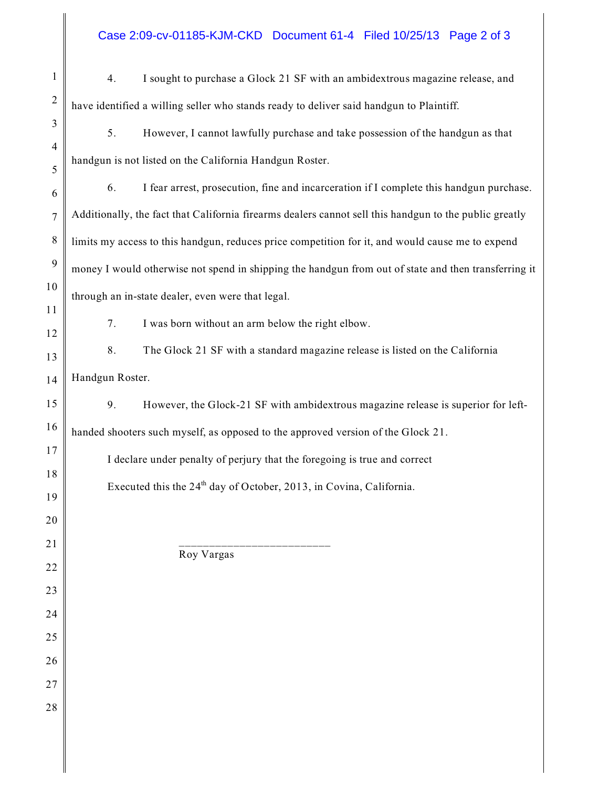## Case 2:09-cv-01185-KJM-CKD Document 61-4 Filed 10/25/13 Page 2 of 3

| $\mathbf{1}$    | I sought to purchase a Glock 21 SF with an ambidextrous magazine release, and<br>4.                    |  |  |
|-----------------|--------------------------------------------------------------------------------------------------------|--|--|
| $\overline{2}$  | have identified a willing seller who stands ready to deliver said handgun to Plaintiff.                |  |  |
| 3               | 5.<br>However, I cannot lawfully purchase and take possession of the handgun as that                   |  |  |
| 4<br>5          | handgun is not listed on the California Handgun Roster.                                                |  |  |
| 6               | I fear arrest, prosecution, fine and incarceration if I complete this handgun purchase.<br>6.          |  |  |
| $\tau$          | Additionally, the fact that California firearms dealers cannot sell this handgun to the public greatly |  |  |
| 8               | limits my access to this handgun, reduces price competition for it, and would cause me to expend       |  |  |
| 9               | money I would otherwise not spend in shipping the handgun from out of state and then transferring it   |  |  |
| 10              | through an in-state dealer, even were that legal.                                                      |  |  |
| 11<br>12        | 7.<br>I was born without an arm below the right elbow.                                                 |  |  |
| 13              | 8.<br>The Glock 21 SF with a standard magazine release is listed on the California                     |  |  |
| 14              | Handgun Roster.                                                                                        |  |  |
| 15              | 9.<br>However, the Glock-21 SF with ambidextrous magazine release is superior for left-                |  |  |
| 16              | handed shooters such myself, as opposed to the approved version of the Glock 21.                       |  |  |
| 17              | I declare under penalty of perjury that the foregoing is true and correct                              |  |  |
| 18<br>19        | Executed this the 24 <sup>th</sup> day of October, 2013, in Covina, California.                        |  |  |
| 20              |                                                                                                        |  |  |
| $\overline{21}$ |                                                                                                        |  |  |
| 22              | Roy Vargas                                                                                             |  |  |
| 23              |                                                                                                        |  |  |
| 24              |                                                                                                        |  |  |
| 25<br>26        |                                                                                                        |  |  |
| 27              |                                                                                                        |  |  |
| 28              |                                                                                                        |  |  |
|                 |                                                                                                        |  |  |